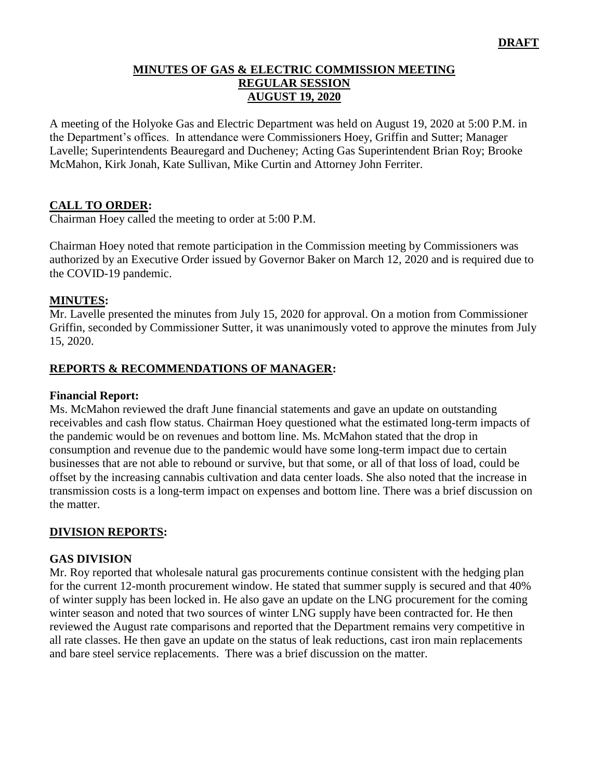## **MINUTES OF GAS & ELECTRIC COMMISSION MEETING REGULAR SESSION AUGUST 19, 2020**

A meeting of the Holyoke Gas and Electric Department was held on August 19, 2020 at 5:00 P.M. in the Department's offices. In attendance were Commissioners Hoey, Griffin and Sutter; Manager Lavelle; Superintendents Beauregard and Ducheney; Acting Gas Superintendent Brian Roy; Brooke McMahon, Kirk Jonah, Kate Sullivan, Mike Curtin and Attorney John Ferriter.

## **CALL TO ORDER:**

Chairman Hoey called the meeting to order at 5:00 P.M.

Chairman Hoey noted that remote participation in the Commission meeting by Commissioners was authorized by an Executive Order issued by Governor Baker on March 12, 2020 and is required due to the COVID-19 pandemic.

## **MINUTES:**

Mr. Lavelle presented the minutes from July 15, 2020 for approval. On a motion from Commissioner Griffin, seconded by Commissioner Sutter, it was unanimously voted to approve the minutes from July 15, 2020.

## **REPORTS & RECOMMENDATIONS OF MANAGER:**

#### **Financial Report:**

Ms. McMahon reviewed the draft June financial statements and gave an update on outstanding receivables and cash flow status. Chairman Hoey questioned what the estimated long-term impacts of the pandemic would be on revenues and bottom line. Ms. McMahon stated that the drop in consumption and revenue due to the pandemic would have some long-term impact due to certain businesses that are not able to rebound or survive, but that some, or all of that loss of load, could be offset by the increasing cannabis cultivation and data center loads. She also noted that the increase in transmission costs is a long-term impact on expenses and bottom line. There was a brief discussion on the matter.

## **DIVISION REPORTS:**

## **GAS DIVISION**

Mr. Roy reported that wholesale natural gas procurements continue consistent with the hedging plan for the current 12-month procurement window. He stated that summer supply is secured and that 40% of winter supply has been locked in. He also gave an update on the LNG procurement for the coming winter season and noted that two sources of winter LNG supply have been contracted for. He then reviewed the August rate comparisons and reported that the Department remains very competitive in all rate classes. He then gave an update on the status of leak reductions, cast iron main replacements and bare steel service replacements. There was a brief discussion on the matter.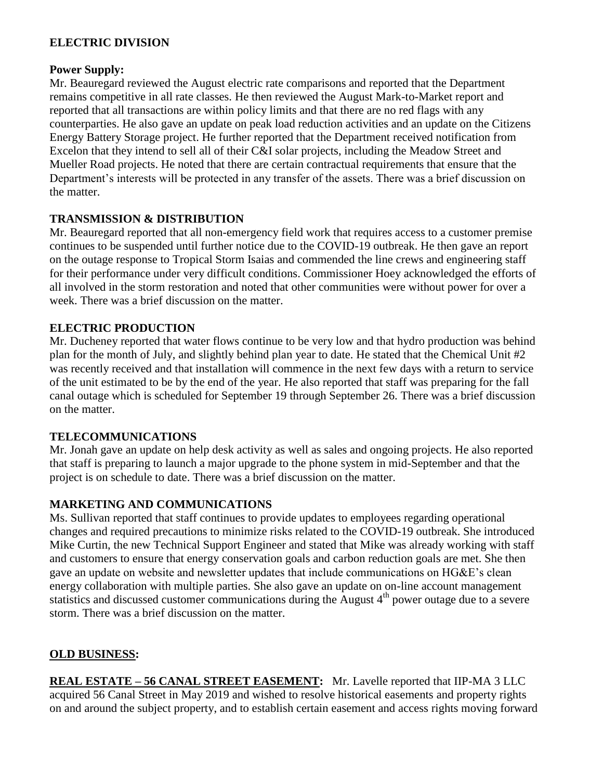## **ELECTRIC DIVISION**

#### **Power Supply:**

Mr. Beauregard reviewed the August electric rate comparisons and reported that the Department remains competitive in all rate classes. He then reviewed the August Mark-to-Market report and reported that all transactions are within policy limits and that there are no red flags with any counterparties. He also gave an update on peak load reduction activities and an update on the Citizens Energy Battery Storage project. He further reported that the Department received notification from Excelon that they intend to sell all of their C&I solar projects, including the Meadow Street and Mueller Road projects. He noted that there are certain contractual requirements that ensure that the Department's interests will be protected in any transfer of the assets. There was a brief discussion on the matter.

#### **TRANSMISSION & DISTRIBUTION**

Mr. Beauregard reported that all non-emergency field work that requires access to a customer premise continues to be suspended until further notice due to the COVID-19 outbreak. He then gave an report on the outage response to Tropical Storm Isaias and commended the line crews and engineering staff for their performance under very difficult conditions. Commissioner Hoey acknowledged the efforts of all involved in the storm restoration and noted that other communities were without power for over a week. There was a brief discussion on the matter.

#### **ELECTRIC PRODUCTION**

Mr. Ducheney reported that water flows continue to be very low and that hydro production was behind plan for the month of July, and slightly behind plan year to date. He stated that the Chemical Unit #2 was recently received and that installation will commence in the next few days with a return to service of the unit estimated to be by the end of the year. He also reported that staff was preparing for the fall canal outage which is scheduled for September 19 through September 26. There was a brief discussion on the matter.

## **TELECOMMUNICATIONS**

Mr. Jonah gave an update on help desk activity as well as sales and ongoing projects. He also reported that staff is preparing to launch a major upgrade to the phone system in mid-September and that the project is on schedule to date. There was a brief discussion on the matter.

## **MARKETING AND COMMUNICATIONS**

Ms. Sullivan reported that staff continues to provide updates to employees regarding operational changes and required precautions to minimize risks related to the COVID-19 outbreak. She introduced Mike Curtin, the new Technical Support Engineer and stated that Mike was already working with staff and customers to ensure that energy conservation goals and carbon reduction goals are met. She then gave an update on website and newsletter updates that include communications on HG&E's clean energy collaboration with multiple parties. She also gave an update on on-line account management statistics and discussed customer communications during the August  $4<sup>th</sup>$  power outage due to a severe storm. There was a brief discussion on the matter.

## **OLD BUSINESS:**

**REAL ESTATE – 56 CANAL STREET EASEMENT:** Mr. Lavelle reported that IIP-MA 3 LLC acquired 56 Canal Street in May 2019 and wished to resolve historical easements and property rights on and around the subject property, and to establish certain easement and access rights moving forward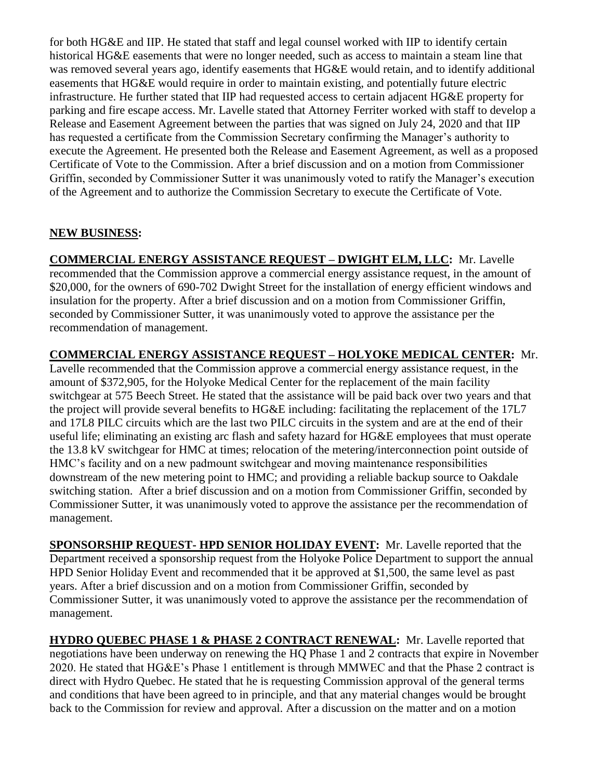for both HG&E and IIP. He stated that staff and legal counsel worked with IIP to identify certain historical HG&E easements that were no longer needed, such as access to maintain a steam line that was removed several years ago, identify easements that HG&E would retain, and to identify additional easements that HG&E would require in order to maintain existing, and potentially future electric infrastructure. He further stated that IIP had requested access to certain adjacent HG&E property for parking and fire escape access. Mr. Lavelle stated that Attorney Ferriter worked with staff to develop a Release and Easement Agreement between the parties that was signed on July 24, 2020 and that IIP has requested a certificate from the Commission Secretary confirming the Manager's authority to execute the Agreement. He presented both the Release and Easement Agreement, as well as a proposed Certificate of Vote to the Commission. After a brief discussion and on a motion from Commissioner Griffin, seconded by Commissioner Sutter it was unanimously voted to ratify the Manager's execution of the Agreement and to authorize the Commission Secretary to execute the Certificate of Vote.

# **NEW BUSINESS:**

**COMMERCIAL ENERGY ASSISTANCE REQUEST – DWIGHT ELM, LLC:** Mr. Lavelle recommended that the Commission approve a commercial energy assistance request, in the amount of \$20,000, for the owners of 690-702 Dwight Street for the installation of energy efficient windows and insulation for the property. After a brief discussion and on a motion from Commissioner Griffin, seconded by Commissioner Sutter, it was unanimously voted to approve the assistance per the recommendation of management.

**COMMERCIAL ENERGY ASSISTANCE REQUEST – HOLYOKE MEDICAL CENTER:** Mr. Lavelle recommended that the Commission approve a commercial energy assistance request, in the amount of \$372,905, for the Holyoke Medical Center for the replacement of the main facility switchgear at 575 Beech Street. He stated that the assistance will be paid back over two years and that the project will provide several benefits to HG&E including: facilitating the replacement of the 17L7 and 17L8 PILC circuits which are the last two PILC circuits in the system and are at the end of their useful life; eliminating an existing arc flash and safety hazard for HG&E employees that must operate the 13.8 kV switchgear for HMC at times; relocation of the metering/interconnection point outside of HMC's facility and on a new padmount switchgear and moving maintenance responsibilities downstream of the new metering point to HMC; and providing a reliable backup source to Oakdale switching station. After a brief discussion and on a motion from Commissioner Griffin, seconded by Commissioner Sutter, it was unanimously voted to approve the assistance per the recommendation of management.

**SPONSORSHIP REQUEST- HPD SENIOR HOLIDAY EVENT:** Mr. Lavelle reported that the Department received a sponsorship request from the Holyoke Police Department to support the annual HPD Senior Holiday Event and recommended that it be approved at \$1,500, the same level as past years. After a brief discussion and on a motion from Commissioner Griffin, seconded by Commissioner Sutter, it was unanimously voted to approve the assistance per the recommendation of management.

**HYDRO QUEBEC PHASE 1 & PHASE 2 CONTRACT RENEWAL:** Mr. Lavelle reported that negotiations have been underway on renewing the HQ Phase 1 and 2 contracts that expire in November 2020. He stated that HG&E's Phase 1 entitlement is through MMWEC and that the Phase 2 contract is direct with Hydro Quebec. He stated that he is requesting Commission approval of the general terms and conditions that have been agreed to in principle, and that any material changes would be brought back to the Commission for review and approval. After a discussion on the matter and on a motion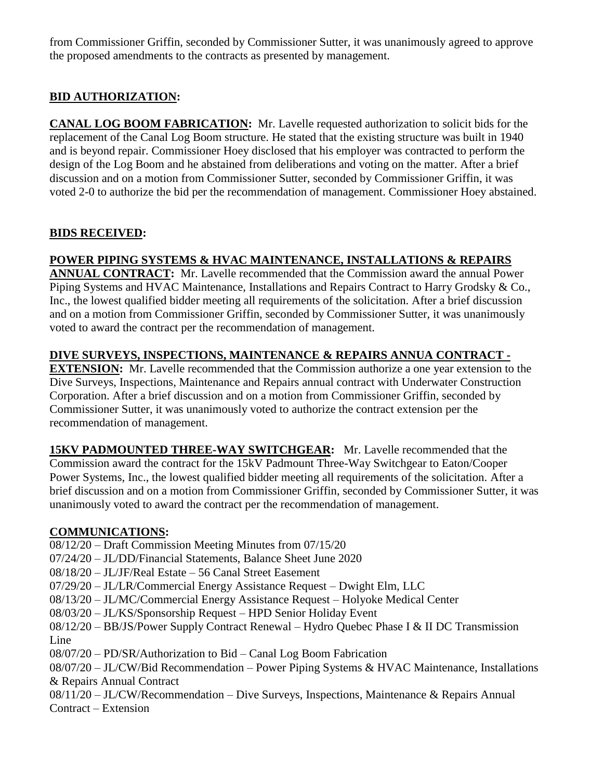from Commissioner Griffin, seconded by Commissioner Sutter, it was unanimously agreed to approve the proposed amendments to the contracts as presented by management.

# **BID AUTHORIZATION:**

**CANAL LOG BOOM FABRICATION:** Mr. Lavelle requested authorization to solicit bids for the replacement of the Canal Log Boom structure. He stated that the existing structure was built in 1940 and is beyond repair. Commissioner Hoey disclosed that his employer was contracted to perform the design of the Log Boom and he abstained from deliberations and voting on the matter. After a brief discussion and on a motion from Commissioner Sutter, seconded by Commissioner Griffin, it was voted 2-0 to authorize the bid per the recommendation of management. Commissioner Hoey abstained.

# **BIDS RECEIVED:**

# **POWER PIPING SYSTEMS & HVAC MAINTENANCE, INSTALLATIONS & REPAIRS**

**ANNUAL CONTRACT:** Mr. Lavelle recommended that the Commission award the annual Power Piping Systems and HVAC Maintenance, Installations and Repairs Contract to Harry Grodsky & Co., Inc., the lowest qualified bidder meeting all requirements of the solicitation. After a brief discussion and on a motion from Commissioner Griffin, seconded by Commissioner Sutter, it was unanimously voted to award the contract per the recommendation of management.

# **DIVE SURVEYS, INSPECTIONS, MAINTENANCE & REPAIRS ANNUA CONTRACT -**

**EXTENSION:** Mr. Lavelle recommended that the Commission authorize a one year extension to the Dive Surveys, Inspections, Maintenance and Repairs annual contract with Underwater Construction Corporation. After a brief discussion and on a motion from Commissioner Griffin, seconded by Commissioner Sutter, it was unanimously voted to authorize the contract extension per the recommendation of management.

**15KV PADMOUNTED THREE-WAY SWITCHGEAR:** Mr. Lavelle recommended that the Commission award the contract for the 15kV Padmount Three-Way Switchgear to Eaton/Cooper Power Systems, Inc., the lowest qualified bidder meeting all requirements of the solicitation. After a brief discussion and on a motion from Commissioner Griffin, seconded by Commissioner Sutter, it was unanimously voted to award the contract per the recommendation of management.

## **COMMUNICATIONS:**

08/12/20 – Draft Commission Meeting Minutes from 07/15/20

07/24/20 – JL/DD/Financial Statements, Balance Sheet June 2020

08/18/20 – JL/JF/Real Estate – 56 Canal Street Easement

07/29/20 – JL/LR/Commercial Energy Assistance Request – Dwight Elm, LLC

08/13/20 – JL/MC/Commercial Energy Assistance Request – Holyoke Medical Center

08/03/20 – JL/KS/Sponsorship Request – HPD Senior Holiday Event

08/12/20 – BB/JS/Power Supply Contract Renewal – Hydro Quebec Phase I & II DC Transmission Line

08/07/20 – PD/SR/Authorization to Bid – Canal Log Boom Fabrication

08/07/20 – JL/CW/Bid Recommendation – Power Piping Systems & HVAC Maintenance, Installations & Repairs Annual Contract

08/11/20 – JL/CW/Recommendation – Dive Surveys, Inspections, Maintenance & Repairs Annual Contract – Extension